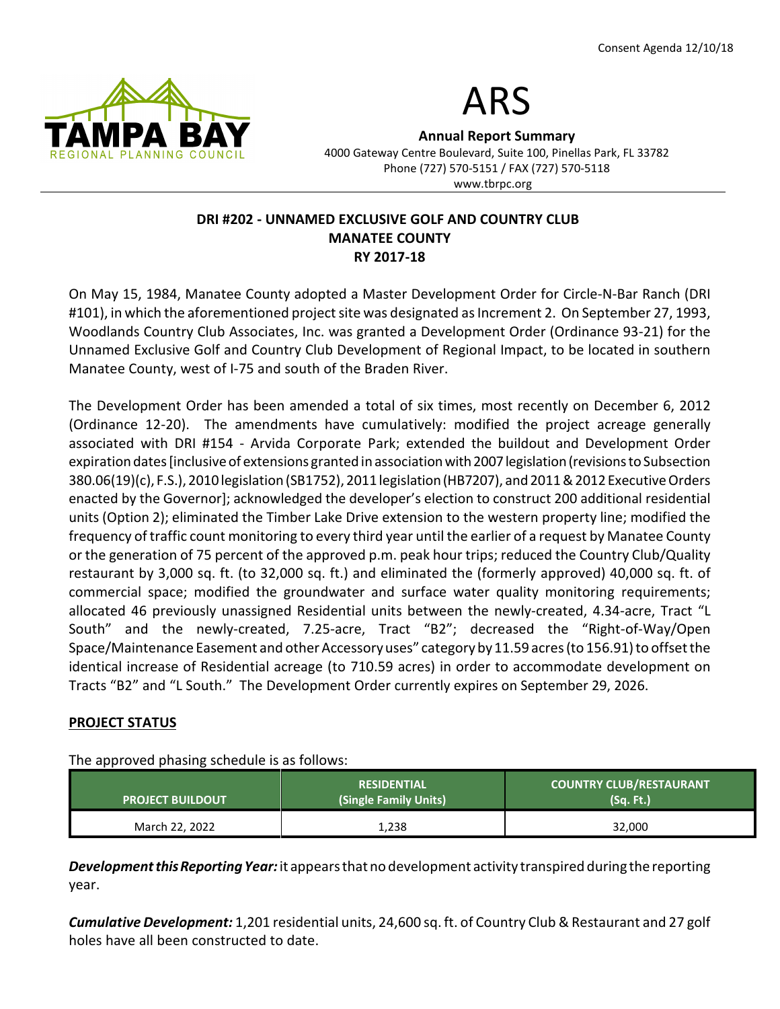



Annual Report Summary 4000 Gateway Centre Boulevard, Suite 100, Pinellas Park, FL 33782 Phone (727) 570-5151 / FAX (727) 570-5118 www.tbrpc.org

## DRI #202 - UNNAMED EXCLUSIVE GOLF AND COUNTRY CLUB MANATEE COUNTY RY 2017-18

On May 15, 1984, Manatee County adopted a Master Development Order for Circle-N-Bar Ranch (DRI #101), in which the aforementioned project site was designated as Increment 2. On September 27, 1993, Woodlands Country Club Associates, Inc. was granted a Development Order (Ordinance 93-21) for the Unnamed Exclusive Golf and Country Club Development of Regional Impact, to be located in southern Manatee County, west of I-75 and south of the Braden River.

The Development Order has been amended a total of six times, most recently on December 6, 2012 (Ordinance 12-20). The amendments have cumulatively: modified the project acreage generally associated with DRI #154 - Arvida Corporate Park; extended the buildout and Development Order expiration dates [inclusive of extensions granted in association with 2007 legislation (revisions to Subsection 380.06(19)(c), F.S.), 2010 legislation (SB1752), 2011 legislation (HB7207), and 2011 & 2012 Executive Orders enacted by the Governor]; acknowledged the developer's election to construct 200 additional residential units (Option 2); eliminated the Timber Lake Drive extension to the western property line; modified the frequency of traffic count monitoring to every third year until the earlier of a request by Manatee County or the generation of 75 percent of the approved p.m. peak hour trips; reduced the Country Club/Quality restaurant by 3,000 sq. ft. (to 32,000 sq. ft.) and eliminated the (formerly approved) 40,000 sq. ft. of commercial space; modified the groundwater and surface water quality monitoring requirements; allocated 46 previously unassigned Residential units between the newly-created, 4.34-acre, Tract "L South" and the newly-created, 7.25-acre, Tract "B2"; decreased the "Right-of-Way/Open Space/Maintenance Easement and other Accessory uses" category by 11.59 acres (to 156.91) to offset the identical increase of Residential acreage (to 710.59 acres) in order to accommodate development on Tracts "B2" and "L South." The Development Order currently expires on September 29, 2026.

## PROJECT STATUS

The approved phasing schedule is as follows:

| <b>PROJECT BUILDOUT</b> | <b>RESIDENTIAL</b><br>(Single Family Units) | <b>COUNTRY CLUB/RESTAURANT</b><br>. (Sq. Ft.) |
|-------------------------|---------------------------------------------|-----------------------------------------------|
| March 22, 2022          | 1,238                                       | 32,000                                        |

**Development this Reporting Year:** it appears that no development activity transpired during the reporting year.

Cumulative Development: 1,201 residential units, 24,600 sq. ft. of Country Club & Restaurant and 27 golf holes have all been constructed to date.